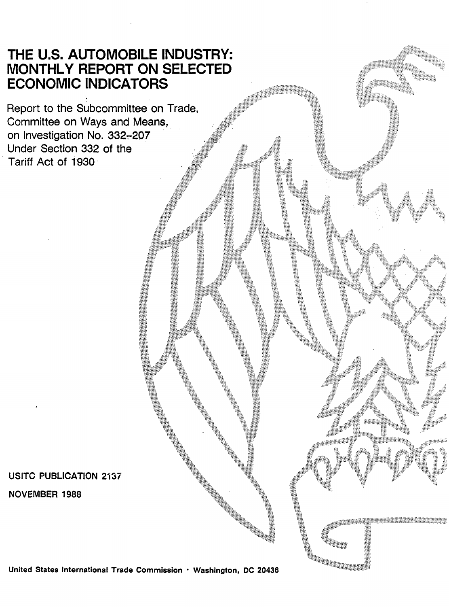# **THE U.S. AUTOMOBILE INDUSTRY: MONTHLY REPORT ON SELECTED ECONOMIC INDICATORS**

Report to the Subcommittee on Trade, Committee on Ways and Means,. on Investigation No. 332~207 Under Section 332 of the · Tariff Act of 1930 ·

USITC PUBLICATION 2137 NOVEMBER 1988

United States International Trade Commission • Washington, DC 20436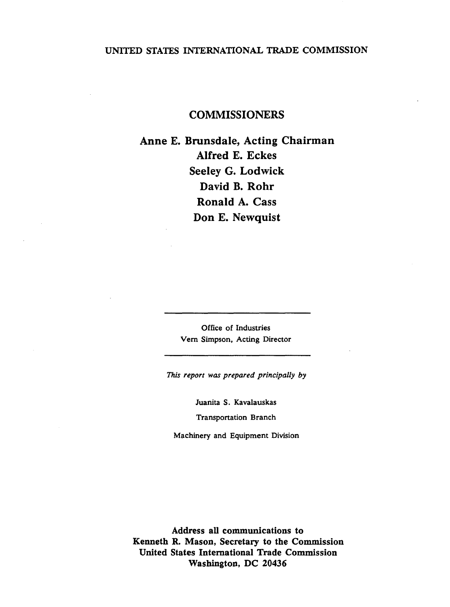#### UNITED STATES INTERNATIONAL TRADE COMMISSION

## **COMMISSIONERS**

Anne E. Brunsdale, Acting Chairman Alfred E. Eckes Seeley G. Lodwick David B. Rohr Ronald A. Cass Don E. Newquist

> Office of Industries Vern Simpson, Acting Director

*This report was prepared principally by* 

Juanita S. Kavalauskas Transportation Branch

Machinery and Equipment Division

Address all communications to Kenneth R. Mason, Secretary to the Commission United States International Trade Commission Washington, DC 20436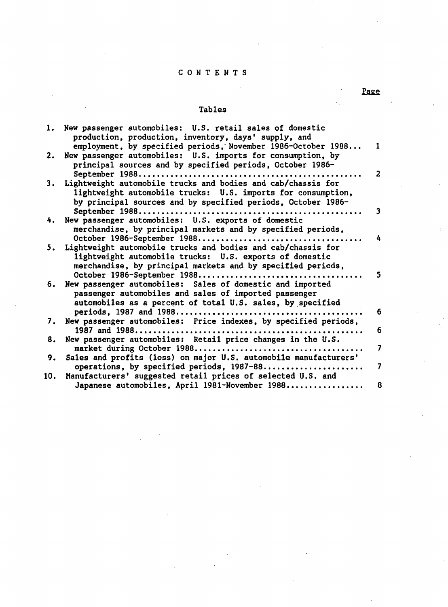### C 0 N T E N T S

### Tables

| 1.  | New passenger automobiles: U.S. retail sales of domestic<br>production, production, inventory, days' supply, and                                                                             |                |
|-----|----------------------------------------------------------------------------------------------------------------------------------------------------------------------------------------------|----------------|
| 2.  | employment, by specified periods, November 1986-October 1988<br>New passenger automobiles: U.S. imports for consumption, by                                                                  | 1              |
|     | principal sources and by specified periods, October 1986-                                                                                                                                    | $\overline{2}$ |
| 3.  | Lightweight automobile trucks and bodies and cab/chassis for<br>lightweight automobile trucks: U.S. imports for consumption,<br>by principal sources and by specified periods, October 1986- |                |
|     |                                                                                                                                                                                              | $\mathbf{3}$   |
| 4.  | New passenger automobiles: U.S. exports of domestic                                                                                                                                          |                |
|     | merchandise, by principal markets and by specified periods,                                                                                                                                  |                |
|     |                                                                                                                                                                                              | 4              |
| 5.  | Lightweight automobile trucks and bodies and cab/chassis for<br>lightweight automobile trucks: U.S. exports of domestic<br>merchandise, by principal markets and by specified periods,       |                |
|     |                                                                                                                                                                                              | 5              |
| 6.  | New passenger automobiles: Sales of domestic and imported<br>passenger automobiles and sales of imported passenger                                                                           |                |
|     | automobiles as a percent of total U.S. sales, by specified                                                                                                                                   |                |
|     |                                                                                                                                                                                              | 6              |
| 7.  | New passenger automobiles: Price indexes, by specified periods,                                                                                                                              |                |
|     |                                                                                                                                                                                              | 6              |
| 8.  | New passenger automobiles: Retail price changes in the U.S.                                                                                                                                  | 7              |
| 9.  | Sales and profits (loss) on major U.S. automobile manufacturers'                                                                                                                             |                |
|     | operations, by specified periods, 1987-88                                                                                                                                                    | 7              |
| 10. | Manufacturers' suggested retail prices of selected U.S. and                                                                                                                                  |                |
|     | Japanese automobiles, April 1981-November 1988                                                                                                                                               | 8              |

Page

 $\epsilon$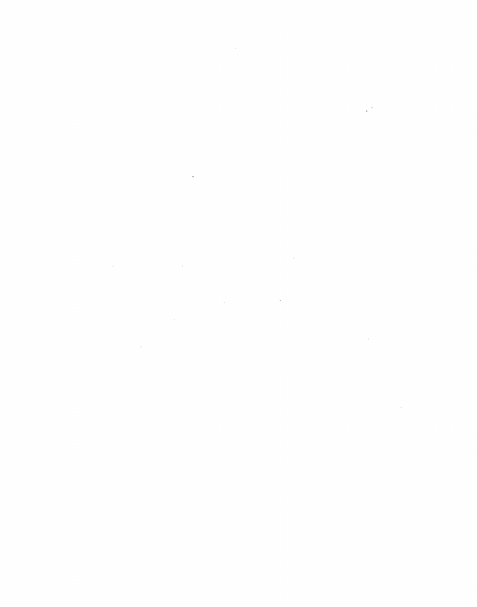$\mathcal{L}^{\mathcal{L}}$ 

 $\label{eq:2.1} \frac{1}{\sqrt{2\pi}}\int_{0}^{\infty}\frac{1}{\sqrt{2\pi}}\left(\frac{1}{\sqrt{2\pi}}\right)^{2}d\mu\left(\frac{1}{\sqrt{2\pi}}\right)\frac{d\mu}{d\mu}d\mu\left(\frac{1}{\sqrt{2\pi}}\right).$ 

 $\label{eq:2.1} \frac{1}{\sqrt{2}}\int_{\mathbb{R}^3}\frac{1}{\sqrt{2}}\left(\frac{1}{\sqrt{2}}\right)^2\frac{1}{\sqrt{2}}\left(\frac{1}{\sqrt{2}}\right)^2\frac{1}{\sqrt{2}}\left(\frac{1}{\sqrt{2}}\right)^2\frac{1}{\sqrt{2}}\left(\frac{1}{\sqrt{2}}\right)^2.$  $\mathcal{O}(\mathcal{O}_\mathcal{O})$  . The contract of the contract of the contract of the contract of the contract of the contract of the contract of the contract of the contract of the contract of the contract of the contract of the co

 $\label{eq:2.1} \mathcal{L}(\mathcal{L}^{\mathcal{L}}_{\mathcal{L}}(\mathcal{L}^{\mathcal{L}}_{\mathcal{L}})) = \mathcal{L}(\mathcal{L}^{\mathcal{L}}_{\mathcal{L}}(\mathcal{L}^{\mathcal{L}}_{\mathcal{L}})) = \mathcal{L}(\mathcal{L}^{\mathcal{L}}_{\mathcal{L}}(\mathcal{L}^{\mathcal{L}}_{\mathcal{L}})) = \mathcal{L}(\mathcal{L}^{\mathcal{L}}_{\mathcal{L}}(\mathcal{L}^{\mathcal{L}}_{\mathcal{L}}))$  $\label{eq:2.1} \frac{1}{\sqrt{2}}\int_{0}^{\infty}\frac{1}{\sqrt{2\pi}}\left(\frac{1}{\sqrt{2\pi}}\right)^{2\alpha} \frac{1}{\sqrt{2\pi}}\int_{0}^{\infty}\frac{1}{\sqrt{2\pi}}\left(\frac{1}{\sqrt{2\pi}}\right)^{\alpha} \frac{1}{\sqrt{2\pi}}\frac{1}{\sqrt{2\pi}}\int_{0}^{\infty}\frac{1}{\sqrt{2\pi}}\frac{1}{\sqrt{2\pi}}\frac{1}{\sqrt{2\pi}}\frac{1}{\sqrt{2\pi}}\frac{1}{\sqrt{2\pi}}\frac{1}{\sqrt{2\pi}}$ 

 $\label{eq:2.1} \mathcal{L}(\mathcal{L}^{\text{max}}_{\text{max}}(\mathcal{L}^{\text{max}}_{\text{max}}(\mathcal{L}^{\text{max}}_{\text{max}}(\mathcal{L}^{\text{max}}_{\text{max}})))$  $\label{eq:2.1} \mathcal{L}(\mathcal{L}^{\text{max}}_{\mathcal{L}}(\mathcal{L}^{\text{max}}_{\mathcal{L}})) \leq \mathcal{L}(\mathcal{L}^{\text{max}}_{\mathcal{L}}(\mathcal{L}^{\text{max}}_{\mathcal{L}}))$ 

 $\label{eq:2.1} \frac{1}{2} \sum_{i=1}^n \frac{1}{2} \sum_{j=1}^n \frac{1}{2} \sum_{j=1}^n \frac{1}{2} \sum_{j=1}^n \frac{1}{2} \sum_{j=1}^n \frac{1}{2} \sum_{j=1}^n \frac{1}{2} \sum_{j=1}^n \frac{1}{2} \sum_{j=1}^n \frac{1}{2} \sum_{j=1}^n \frac{1}{2} \sum_{j=1}^n \frac{1}{2} \sum_{j=1}^n \frac{1}{2} \sum_{j=1}^n \frac{1}{2} \sum_{j=1}^n \frac{$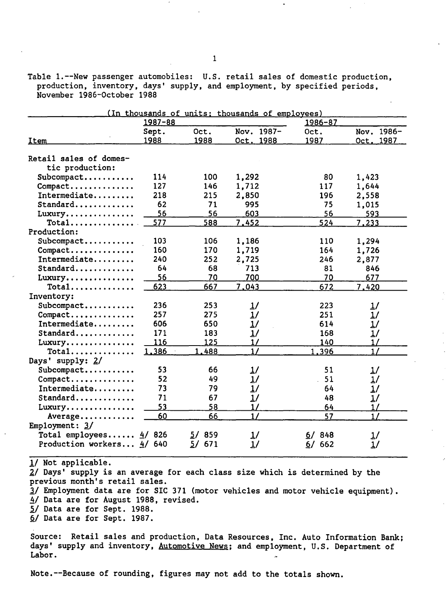Table 1.--New passenger automobiles: U.S. retail sales of domestic production, production, inventory, days' supply, and employment, by specified periods, November 1986-0ctober 1988

|                                 |             |         | (In thousands of units; thousands of employees) |       |                  |
|---------------------------------|-------------|---------|-------------------------------------------------|-------|------------------|
|                                 | $1987 - 88$ | 1986-87 |                                                 |       |                  |
|                                 | Sept.       | Oct.    | Nov. 1987-                                      | Oct.  | Nov. 1986-       |
| Item                            | 1988        | 1988    | Oct. 1988                                       | 1987  | <u>Oct. 1987</u> |
| Retail sales of domes-          |             |         |                                                 |       |                  |
| tic production:                 |             |         |                                                 |       |                  |
| Subcompact                      | 114         | 100     | 1,292                                           | 80    | 1,423            |
| Compact                         | 127         | 146     | 1,712                                           | 117   | 1,644            |
| Intermediate                    | 218         | 215     | 2,850                                           | 196   | 2,558            |
| Standard                        | 62          | 71      | 995                                             | 75    | 1,015            |
| Luxury                          | 56          | 56      | 603                                             | 56    | 593              |
| $Total$                         | 577         | 588     | 7.452                                           | 524   | 7,233            |
| Production:                     |             |         |                                                 |       |                  |
| Subcompact                      | 103         | 106     | 1,186                                           | 110   | 1,294            |
| Compact                         | 160         | 170     | 1,719                                           | 164   | 1,726            |
| Intermediate                    | 240         | 252     | 2,725                                           | 246   | 2,877            |
| Standard                        | 64          | 68      | 713                                             | 81    | 846              |
| Luxury                          | 56          | 70      | 700                                             | 70    | 677              |
| $Total$                         | 623         | 667     | 7.043                                           | 672   | 7,420            |
| Inventory:                      |             |         |                                                 |       |                  |
| Subcompact                      | 236         | 253     | 1/                                              | 223   | <u> 1</u> /      |
| Compact                         | 257         | 275     | 1/                                              | 251   | 1/               |
| Intermediate                    | 606         | 650     | 1/                                              | 614   | 1/               |
| Standard                        | 171         | 183     | 1/                                              | 168   | 1/               |
| Luxury                          | 116         | 125     | $1/\sqrt{2}$                                    | 140   | 1/               |
| $Total \dots \dots \dots \dots$ | 1,386       | 1,488   | 1/                                              | 1,396 | 1/               |
| Days' supply: 2/                |             |         |                                                 |       |                  |
| Subcompact                      | 53          | 66      | 1/                                              | 51    | 1/               |
| $Compact \ldots \ldots$         | 52          | 49      | 1/                                              | 51    | 1/               |
| Intermediate                    | 73          | 79      | 1/                                              | 64    | 1/               |
| Standard                        | 71          | 67      | 1/                                              | 48    | 1/               |
| Luxury                          | 53          | 58      | 1/                                              | 64    | 1/               |
| Average                         | 60          | 66      | 1/                                              | 57    | 1/               |
| Employment: $3/$                |             |         |                                                 |       |                  |
| Total employees                 | 826<br>4/   | 5/859   | 1/                                              | 6/848 | 1/               |
|                                 |             |         |                                                 |       |                  |

1/ Not applicable.

2/ Days' supply is an average for each class size which is determined by the previous month's retail sales.

3/ Employment data are for SIC 371 (motor vehicles and motor vehicle equipment).

!/ Data are for August 1988, revised.

5/ Data are for Sept. 1988.

§/Data are for Sept. 1987.

Source: Retail sales and production, Data Resources, Inc. Auto Information Bank; days' supply and inventory, Automotive News; and employment, U.S. Department of Labor.

Note.--Because of rounding, figures may not add to the totals shown.

1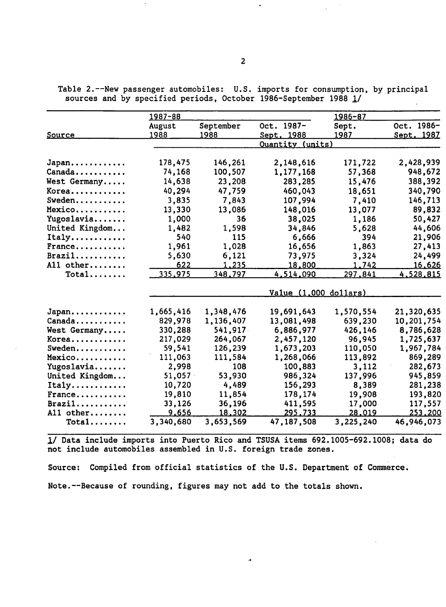|                | 1987-88   |           |                       | 1986-87       |            |
|----------------|-----------|-----------|-----------------------|---------------|------------|
|                | August    | September | Oct. 1987-            | Sept.         | Oct. 1986- |
| Source         | 1988      | 1988      | Sept. 1988            | <u> 1987 </u> | Sept. 1987 |
|                |           |           | Quantity (units)      |               |            |
| Japan          | 178,475   | 146,261   | 2,148,616             | 171,722       | 2,428,939  |
| Canada         | 74,168    | 100,507   | 1,177,168             | 57,368        | 948,672    |
| West Germany   | 14,638    | 23,208    | 283,285               | 15,476        | 388,392    |
| Korea          | 40,294    | 47,759    | 460.043               | 18,651        | 340,790    |
| Sweden         | 3,835     | 7,843     | 107,994               | 7,410         | 146,713    |
| Mexico         | 13,330    | 13,086    | 148,016               | 13,077        | 89,832     |
| Yugoslavia     | 1,000     | 36        | 38,025                | 1,186         | 50,427     |
| United Kingdom | 1,482     | 1,598     | 34,846                | 5,628         | 44,606     |
| Italy          | 540       | 115       | 6,666                 | 394           | 21,906     |
| France         | 1,961     | 1,028     | 16,656                | 1,863         | 27,413     |
| $Brazil$       | 5,630     | 6,121     | 73,975                | 3,324         | 24,499     |
| All other      | 622       | 1.235     | 18,800                | 1.742         | 16,626     |
| $Total$        | 335,975   | 348,797   | 4.514.090             | 297.841       | 4,528,815  |
|                |           |           | Value (1,000 dollars) |               |            |
|                |           |           |                       |               |            |
| Japan          | 1,665,416 | 1,348,476 | 19,691,643            | 1,570,554     | 21,320,635 |
| Canada         | 829,978   | 1,136,407 | 13,081,498            | 639,230       | 10,201,754 |
| West Germany   | 330,288   | 541,917   | 6,886,977             | 426,146       | 8,786,628  |
| Korea          | 217,029   | 264,067   | 2,457,120             | 96,945        | 1,725,637  |
| Sweden         | 59,541    | 126,239   | 1,673,203             | 110,050       | 1,967,784  |
| Mexico         | 111,063   | 111,584   | 1,268,066             | 113,892       | 869,289    |
| Yugoslavia     | 2,998     | 108       | 100,883               | 3,112         | 282,673    |
| United Kingdom | 51,057    | 53,930    | 986,324               | 137,996       | 945,859    |
| Italy          | 10,720    | 4,489     | 156,293               | 8,389         | 281,238    |
| France         | 19,810    | 11,854    | 178,174               | 19,908        | 193,820    |
| $Brazil$       | 33,126    | 36,196    | 411,595               | 17,000        | 117,557    |
| All other      | 9,656     | 18,302    | 295,733               | 28,019        | 253,200    |
| $Total$        | 3,340,680 | 3,653,569 | 47,187,508            | 3,225,240     | 46,946,073 |

Table 2.--New passenger automobiles: U.S. imports for consumption, by principal sources and by specified periods, October 1986-September 1988 1/

l/ Data include imports into Puerto Rico and TSUSA items 692.1005-692.1008; data do not include automobiles assembled in U.S. foreign trade zones.

Source: Compiled from official statistics of the U.S. Department of Commerce. Note.--Because of rounding, figures may not add to the totals shown.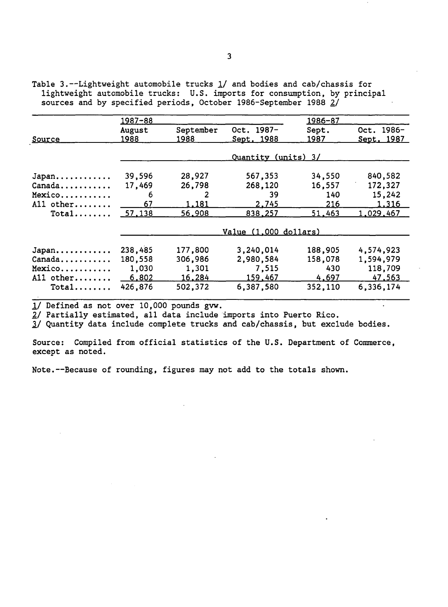Table 3.--Lightweight automobile trucks 1/ and bodies and cab/chassis for lightweight automobile trucks: U.S. imports for consumption, by principal sources and by specified periods, October 1986-September 1988 2/

|                     | 1987-88        |                 |                       | 1986-87      |                   |
|---------------------|----------------|-----------------|-----------------------|--------------|-------------------|
|                     | August         | September       | Oct. 1987-            | Sept.        | Oct. 1986-        |
| <b>Source</b>       | 1988           | 1988            | Sept. 1988            | 1987         | Sept. 1987        |
|                     |                |                 | Quantity (units) 3/   |              |                   |
| Japan               | 39,596         | 28,927          | 567,353               | 34,550       | 840,582           |
| Canada              | 17,469         | 26,798          | 268,120               | 16,557       | 172,327           |
| Mexico              | 6              | 2               | 39                    | 140          | 15,242            |
| All other           | <u>67</u>      | 1,181           | 2,745                 | 216          | 1,316             |
| $Total$             | $-57,138$      | 56,908          | 838,257               | 51,463       | 1,029,467         |
|                     |                |                 | Value (1,000 dollars) |              |                   |
| Japan               | 238,485        | 177,800         | 3,240,014             | 188,905      | 4,574,923         |
| Canada              | 180,558        | 306,986         | 2,980,584             | 158,078      | 1,594,979         |
| Mexico<br>All other | 1,030<br>6,802 | 1,301<br>16,284 | 7,515<br>159,467      | 430<br>4,697 | 118,709<br>47,563 |
| $Total$             | 426,876        | 502,372         | 6,387,580             | 352,110      | 6,336,174         |

*11* Defined as not over 10,000 pounds gvw.

*21* Partially estimated, all data include imports into Puerto Rico.

*11* Quantity data include complete trucks and cab/chassis, but exclude bodies.

Source: Compiled from official statistics of the U.S. Department of Commerce, except as noted.

Note.--Because of rounding, figures may not add to the totals shown.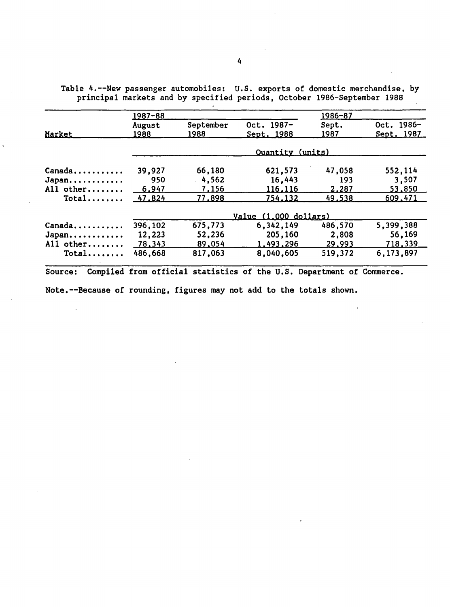Table 4.--New passenger automobiles: U.S. exports of domestic merchandise, by principal markets and by specified periods, October 1986-September 1988

|           | 1987-88               |           |                                                                       | 1986-87      |            |  |  |
|-----------|-----------------------|-----------|-----------------------------------------------------------------------|--------------|------------|--|--|
|           | August                | September | Oct. 1987-                                                            | Sept.        | Oct. 1986- |  |  |
| Market    | 1988                  | 1988      | Sept. 1988                                                            | 1987         | Sept, 1987 |  |  |
|           |                       |           | Quantity (units)                                                      |              |            |  |  |
| Canada    | 39,927                | 66,180    | 621,573                                                               | 47,058       | 552,114    |  |  |
| Japan     | 950                   | 4,562     | 16,443                                                                | 193<br>2,287 | 3,507      |  |  |
| All other | 6,947                 | 7,156     | 116,116                                                               |              | 53,850     |  |  |
| $Total$   | 47,824                | 77.898    | 754, 132                                                              | 49,538       | 609,471    |  |  |
|           | Value (1,000 dollars) |           |                                                                       |              |            |  |  |
| Canada    | 396,102               | 675,773   | 6,342,149                                                             | 486,570      | 5,399,388  |  |  |
| Japan     | 12,223                | 52,236    | 205,160                                                               | 2,808        | 56,169     |  |  |
| All other | $-78,343$             | 89,054    | 1,493,296                                                             | 29,993       | 718,339    |  |  |
| $Total$   | 486,668               | 817,063   | 8,040,605                                                             | 519,372      | 6,173,897  |  |  |
| Source:   |                       |           | Compiled from official statistics of the U.S. Department of Commerce. |              |            |  |  |

Note.--Because of rounding, figures may not add to the totals shown.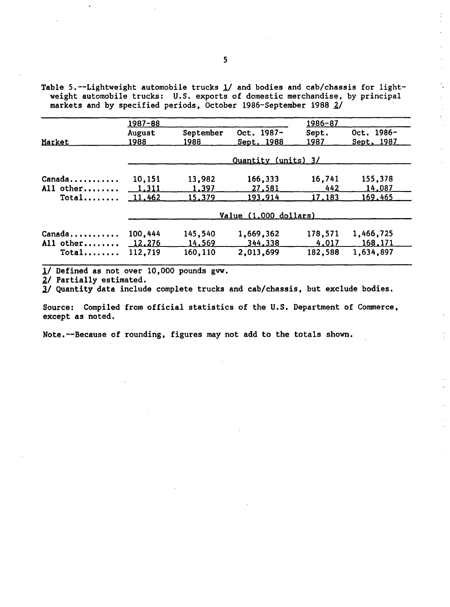Table 5.--Lightweight automobile trucks 1/ and bodies and cab/chassis for lightweight automobile trucks: U.S. exports of domestic merchandise, by principal markets and by specified periods, October 1986-September 1988 2/

 $\ddot{\phantom{a}}$ 

th.<br>B

 $\cdot$ 

|                               | $1987 - 88$        |                   |                          | $1986 - 87$      |                             |
|-------------------------------|--------------------|-------------------|--------------------------|------------------|-----------------------------|
| Market                        | August<br>1988     | September<br>1988 | Oct. 1987-<br>Sept, 1988 | Sept.<br>1987    | Oct. $1986 -$<br>Sept. 1987 |
|                               |                    |                   | Quantity (units) 3/      |                  |                             |
| $Canada \ldots $<br>All other | 10,151<br>$-1,311$ | 13,982<br>1,397   | 166,333<br>27,581        | 16,741<br>442    | 155,378<br>14,087           |
| $Total$                       | $-11,462$          | 15,379            | 193,914                  | 17.183           | 169,465                     |
|                               |                    |                   | Value (1,000 dollars)    |                  |                             |
| Canada<br>All other           | 100.444<br>12,276  | 145,540<br>14,569 | 1,669,362<br>344,338     | 178.571<br>4,017 | 1,466,725<br>168,171        |
| $Total \ldots$                | 112,719            | 160,110           | 2,013,699                | 182,588          | 1,634,897                   |

!/ Defined as not over 10,000 pounds gvw.

*21* Partially estimated.

l/ Quantity data include complete trucks and cab/chassis, but exclude bodies.

Source: Compiled from official statistics of the U.S. Department of Commerce, except as noted.

Note.--Because of rounding, figures may not add to the totals shown.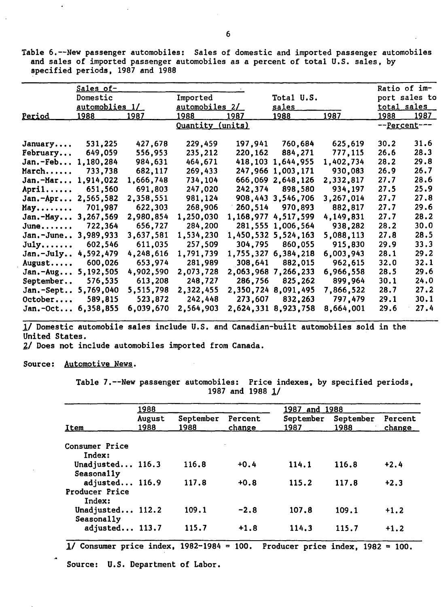Table 6.--New passenger automobiles: Sales of domestic and imported passenger automobiles and sales of imported passenger automobiles as a percent of total U.S. sales, by specified periods, 1987 and 1988

|                      | Sales of-             |               |                  |         |                     |           |              | Ratio of im-  |
|----------------------|-----------------------|---------------|------------------|---------|---------------------|-----------|--------------|---------------|
|                      | Domestic              |               | Imported         |         | Total U.S.          |           |              | port sales to |
|                      | <u>automoblies 1/</u> |               | automobiles 2/   |         | <u>sales</u>        |           | total sales  |               |
| <u>Period</u>        | <u> 1988 </u>         | <u> 1987 </u> | 1988             | 1987    | <u> 1988 </u>       | 1987      | 1988         | <u>1987</u>   |
|                      |                       |               | Quantity (units) |         |                     |           | --Percent--- |               |
| January              | 531,225               | 427,678       | 229,459          | 197,941 | 760,684             | 625,619   | 30.2         | 31.6          |
| February             | 649,059               | 556,953       | 235,212          | 220.162 | 884,271             | 777, 115  | 26.6         | 28.3          |
| Jan.-Feb 1,180,284   |                       | 984,631       | 464,671          |         | 418,103 1,644,955   | 1.402,734 | 28.2         | 29.8          |
| March                | 733,738               | 682,117       | 269,433          |         | 247,966 1,003,171   | 930,083   | 26.9         | 26.7          |
| Jan.-Mar             | 1,914,022             | 1,666,748     | 734,104          |         | 666,069 2,648,126   | 2,332,817 | 27.7         | 28.6          |
| $April \ldots$       | 651,560               | 691,803       | 247,020          | 242,374 | 898,580             | 934,197   | 27.5         | 25.9          |
| $Jan.-Apr$           | 2,565,582             | 2,358,551     | 981,124          |         | 908,443 3,546,706   | 3,267,014 | 27.7         | 27.8          |
| $May$                | 701,987               | 622,303       | 268,906          | 260,514 | 970,893             | 882,817   | 27.7         | 29.6          |
| Jan.-May 3,267,569   |                       | 2,980,854     | 1,250,030        |         | 1,168,977 4,517,599 | 4,149,831 | 27.7         | 28.2          |
| $June \ldots$        | 722,364               | 656,727       | 284,200          |         | 281,555 1,006,564   | 938,282   | 28.2         | 30.0          |
| $Jan.-June$          | 3,989,933             | 3,637,581     | 1,534,230        |         | 1,450,532 5,524,163 | 5,088,113 | 27.8         | 28.5          |
| July                 | 602,546               | 611,035       | 257,509          | 304,795 | 860,055             | 915,830   | 29.9         | 33.3          |
| Jan.-July            | 4,592,479             | 4,248,616     | 1,791,739        |         | 1,755,327 6,384,218 | 6,003,943 | 28.1         | 29.2          |
| August               | 600,026               | 653,974       | 281,989          | 308,641 | 882,015             | 962,615   | 32.0         | 32.1          |
| $Jan.-Aug$           | 5,192,505             | 4,902,590     | 2,073,728        |         | 2,063,968 7,266,233 | 6,966,558 | 28.5         | 29.6          |
| September            | 576,535               | 613,208       | 248,727          | 286,756 | 825,262             | 899,964   | 30.1         | 24.0          |
| Jan.-Sept            | 5,769,040             | 5,515,798     | 2,322,455        |         | 2,350,724 8,091,495 | 7,866,522 | 28.7         | 27.2          |
| October              | 589,815               | 523,872       | 242,448          | 273,607 | 832,263             | 797,479   | 29.1         | 30.1          |
| Jan.-Oct $6,358,855$ |                       | 6,039,670     | 2,564,903        |         | 2,624,331 8,923,758 | 8,664,001 | 29.6         | 27.4          |

11 Domestic automobile sales include U.S. and Canadian-built automobiles sold in the United States.

*ZI* Does not include automobiles imported from Canada.

Source: Automotive News.

Table 7.--New passenger automobiles: Price indexes, by specified periods, 1987 and 1988 1/

|                                            | 1988           |                   |                   | 1987              | and 1988          |                          |  |  |
|--------------------------------------------|----------------|-------------------|-------------------|-------------------|-------------------|--------------------------|--|--|
| <u>Item</u>                                | August<br>1988 | September<br>1988 | Percent<br>change | September<br>1987 | September<br>1988 | Percent<br><u>change</u> |  |  |
| Consumer Price<br>Index:                   |                |                   |                   |                   |                   |                          |  |  |
| Unadjusted 116.3<br>Seasonally             |                | 116.8             | $+0.4$            | 114.1             | 116.8             | $+2.4$                   |  |  |
| adjusted 116.9<br>Producer Price<br>Index: |                | 117.8             | $+0.8$            | 115.2             | 117.8             | $+2.3$                   |  |  |
| Unadjusted 112.2<br>Seasonally             |                | 109.1             | $-2.8$            | 107.8             | 109.1             | $+1.2$                   |  |  |
| adjusted 113.7                             |                | 115.7             | $+1.8$            | 114.3             | 115.7             | $+1.2$                   |  |  |

1/ Consumer price index,  $1982-1984 = 100$ . Producer price index,  $1982 = 100$ .

Source: U.S. Department of Labor.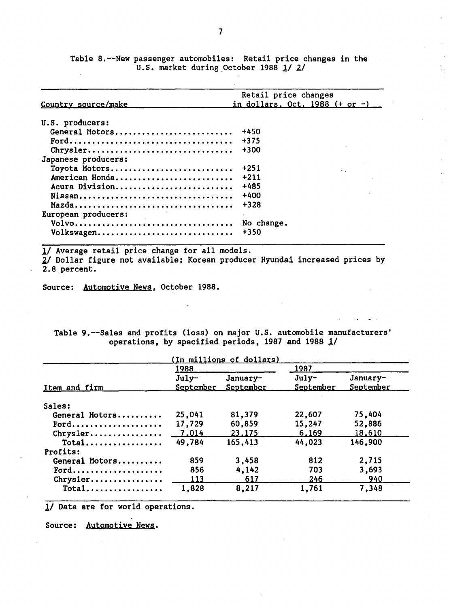|                     | Retail price changes             |  |  |  |  |
|---------------------|----------------------------------|--|--|--|--|
| Country source/make | in dollars. Oct. 1988 $(+ or -)$ |  |  |  |  |
| U.S. producers:     |                                  |  |  |  |  |
| General Motors      | $+450$                           |  |  |  |  |
|                     | $+375$                           |  |  |  |  |
| Chrysler            | $+300$                           |  |  |  |  |
| Japanese producers: |                                  |  |  |  |  |
| Toyota Motors       | $+251$                           |  |  |  |  |
| American Honda      | $+211$                           |  |  |  |  |
| Acura Division      | $+485$                           |  |  |  |  |
|                     | $+400$                           |  |  |  |  |
|                     | $+328$                           |  |  |  |  |
| European producers: |                                  |  |  |  |  |
|                     | No change.                       |  |  |  |  |
| Volkswagen          | $+350$                           |  |  |  |  |

Table 8.--New passenger automobiles: Retail price changes in the U.S. market during October 1988  $1/ 2/$ 

1/ Average retail price change for all models. *21* Dollar figure not available; Korean producer Hyundai increased prices by 2.8 percent.

Source: Automotive News, October 1988.

Table 9.--Sales and profits (loss) on major U.S. automobile manufacturers' operations, by specified periods, 1987 and 1988 l/

|                                     | 1988                 | (In millions of dollars) | <u> 1987 </u>        |                       |  |  |
|-------------------------------------|----------------------|--------------------------|----------------------|-----------------------|--|--|
| Item and firm                       | $July-$<br>September | January-<br>September    | $July-$<br>September | January-<br>September |  |  |
| Sales:                              |                      |                          |                      |                       |  |  |
| General Motors                      | 25,041               | 81,379                   | 22,607               | 75.404                |  |  |
| Ford                                | 17,729               | 60,859                   | 15,247               | 52,886                |  |  |
| Chrysler                            | 7.014                | 23, 175                  | 6.169                | 18,610                |  |  |
| $Total$                             | 49.784               | 165.413                  | 44,023               | 146,900               |  |  |
| Profits:                            |                      |                          |                      |                       |  |  |
| General Motors                      | 859                  | 3,458                    | 812                  | 2,715                 |  |  |
| Ford                                | 856                  | 4,142                    | 703                  | 3,693                 |  |  |
| Chrysler                            | 113                  | .617                     | 246                  | 940                   |  |  |
| $Total \ldots \ldots \ldots \ldots$ | 1,828                | 8,217                    | 1,761                | 7.348                 |  |  |

l/ Data are for world operations.

Source: Automotive News.